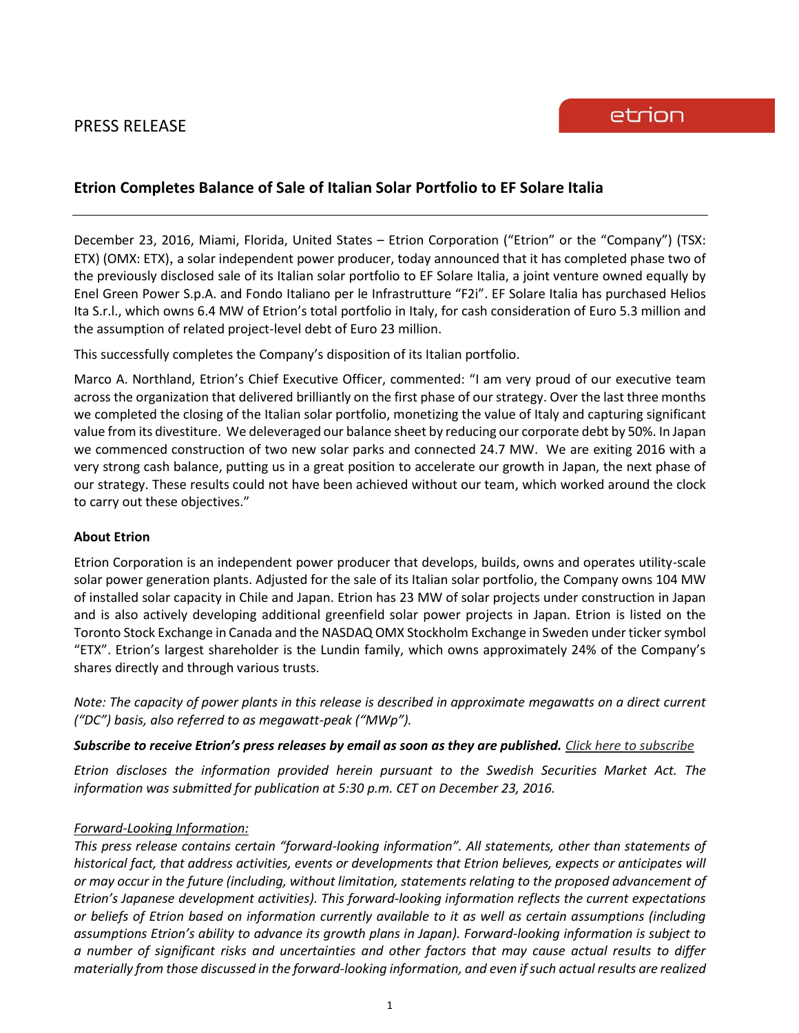## PRESS RELEASE

## **Etrion Completes Balance of Sale of Italian Solar Portfolio to EF Solare Italia**

December 23, 2016, Miami, Florida, United States – Etrion Corporation ("Etrion" or the "Company") (TSX: ETX) (OMX: ETX), a solar independent power producer, today announced that it has completed phase two of the previously disclosed sale of its Italian solar portfolio to EF Solare Italia, a joint venture owned equally by Enel Green Power S.p.A. and Fondo Italiano per le Infrastrutture "F2i". EF Solare Italia has purchased Helios Ita S.r.l., which owns 6.4 MW of Etrion's total portfolio in Italy, for cash consideration of Euro 5.3 million and the assumption of related project-level debt of Euro 23 million.

This successfully completes the Company's disposition of its Italian portfolio.

Marco A. Northland, Etrion's Chief Executive Officer, commented: "I am very proud of our executive team across the organization that delivered brilliantly on the first phase of our strategy. Over the last three months we completed the closing of the Italian solar portfolio, monetizing the value of Italy and capturing significant value from its divestiture. We deleveraged our balance sheet by reducing our corporate debt by 50%. In Japan we commenced construction of two new solar parks and connected 24.7 MW. We are exiting 2016 with a very strong cash balance, putting us in a great position to accelerate our growth in Japan, the next phase of our strategy. These results could not have been achieved without our team, which worked around the clock to carry out these objectives."

## **About Etrion**

Etrion Corporation is an independent power producer that develops, builds, owns and operates utility-scale solar power generation plants. Adjusted for the sale of its Italian solar portfolio, the Company owns 104 MW of installed solar capacity in Chile and Japan. Etrion has 23 MW of solar projects under construction in Japan and is also actively developing additional greenfield solar power projects in Japan. Etrion is listed on the Toronto Stock Exchange in Canada and the NASDAQ OMX Stockholm Exchange in Sweden under ticker symbol "ETX". Etrion's largest shareholder is the Lundin family, which owns approximately 24% of the Company's shares directly and through various trusts.

*Note: The capacity of power plants in this release is described in approximate megawatts on a direct current ("DC") basis, also referred to as megawatt-peak ("MWp").*

*Subscribe to receive Etrion's press releases by email as soon as they are published. [Click here to subscribe](https://www.etrion.com/press_release_subscribe.php)*

*Etrion discloses the information provided herein pursuant to the Swedish Securities Market Act. The information was submitted for publication at 5:30 p.m. CET on December 23, 2016.*

## *Forward-Looking Information:*

*This press release contains certain "forward-looking information". All statements, other than statements of historical fact, that address activities, events or developments that Etrion believes, expects or anticipates will or may occur in the future (including, without limitation, statements relating to the proposed advancement of Etrion's Japanese development activities). This forward-looking information reflects the current expectations or beliefs of Etrion based on information currently available to it as well as certain assumptions (including assumptions Etrion's ability to advance its growth plans in Japan). Forward-looking information is subject to a number of significant risks and uncertainties and other factors that may cause actual results to differ materially from those discussed in the forward-looking information, and even if such actual results are realized*